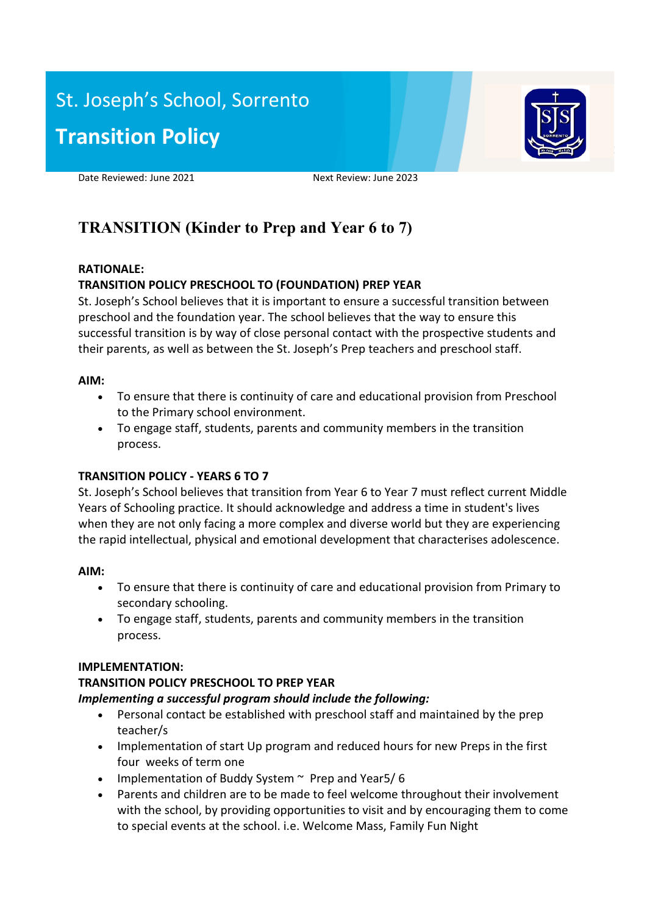# St. Joseph's School, Sorrento **Transition Policy**



Date Reviewed: June 2021 Next Review: June 2023

# **TRANSITION (Kinder to Prep and Year 6 to 7)**

#### **RATIONALE:**

# **TRANSITION POLICY PRESCHOOL TO (FOUNDATION) PREP YEAR**

St. Joseph's School believes that it is important to ensure a successful transition between preschool and the foundation year. The school believes that the way to ensure this successful transition is by way of close personal contact with the prospective students and their parents, as well as between the St. Joseph's Prep teachers and preschool staff.

#### **AIM:**

- To ensure that there is continuity of care and educational provision from Preschool to the Primary school environment.
- To engage staff, students, parents and community members in the transition process.

## **TRANSITION POLICY - YEARS 6 TO 7**

St. Joseph's School believes that transition from Year 6 to Year 7 must reflect current Middle Years of Schooling practice. It should acknowledge and address a time in student's lives when they are not only facing a more complex and diverse world but they are experiencing the rapid intellectual, physical and emotional development that characterises adolescence.

#### **AIM:**

- To ensure that there is continuity of care and educational provision from Primary to secondary schooling.
- To engage staff, students, parents and community members in the transition process.

#### **IMPLEMENTATION:**

## **TRANSITION POLICY PRESCHOOL TO PREP YEAR**

#### *Implementing a successful program should include the following:*

- Personal contact be established with preschool staff and maintained by the prep teacher/s
- Implementation of start Up program and reduced hours for new Preps in the first four weeks of term one
- Implementation of Buddy System  $\sim$  Prep and Year 5/6
- Parents and children are to be made to feel welcome throughout their involvement with the school, by providing opportunities to visit and by encouraging them to come to special events at the school. i.e. Welcome Mass, Family Fun Night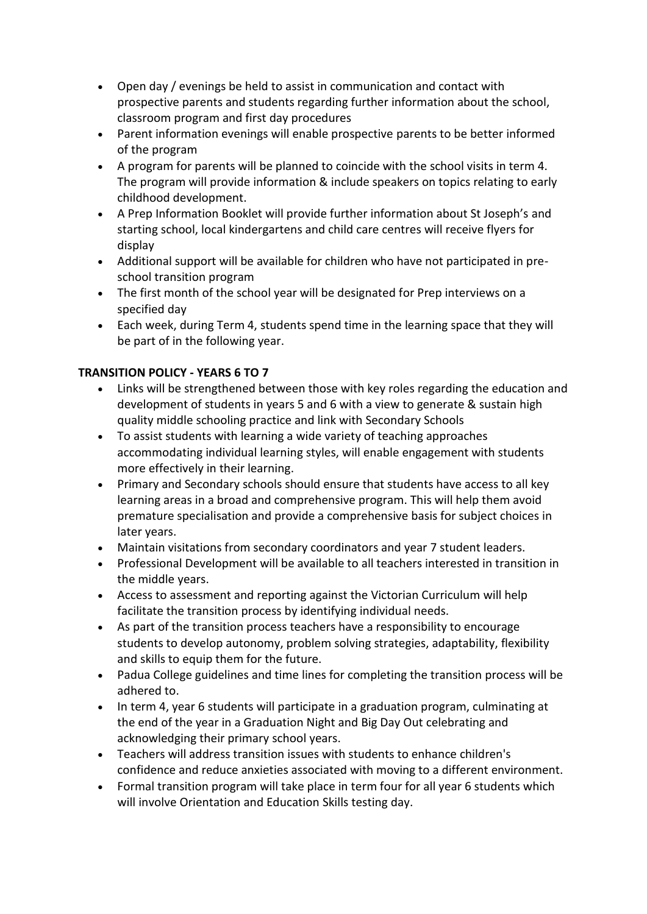- Open day / evenings be held to assist in communication and contact with prospective parents and students regarding further information about the school, classroom program and first day procedures
- Parent information evenings will enable prospective parents to be better informed of the program
- A program for parents will be planned to coincide with the school visits in term 4. The program will provide information & include speakers on topics relating to early childhood development.
- A Prep Information Booklet will provide further information about St Joseph's and starting school, local kindergartens and child care centres will receive flyers for display
- Additional support will be available for children who have not participated in preschool transition program
- The first month of the school year will be designated for Prep interviews on a specified day
- Each week, during Term 4, students spend time in the learning space that they will be part of in the following year.

# **TRANSITION POLICY - YEARS 6 TO 7**

- Links will be strengthened between those with key roles regarding the education and development of students in years 5 and 6 with a view to generate & sustain high quality middle schooling practice and link with Secondary Schools
- To assist students with learning a wide variety of teaching approaches accommodating individual learning styles, will enable engagement with students more effectively in their learning.
- Primary and Secondary schools should ensure that students have access to all key learning areas in a broad and comprehensive program. This will help them avoid premature specialisation and provide a comprehensive basis for subject choices in later years.
- Maintain visitations from secondary coordinators and year 7 student leaders.
- Professional Development will be available to all teachers interested in transition in the middle years.
- Access to assessment and reporting against the Victorian Curriculum will help facilitate the transition process by identifying individual needs.
- As part of the transition process teachers have a responsibility to encourage students to develop autonomy, problem solving strategies, adaptability, flexibility and skills to equip them for the future.
- Padua College guidelines and time lines for completing the transition process will be adhered to.
- In term 4, year 6 students will participate in a graduation program, culminating at the end of the year in a Graduation Night and Big Day Out celebrating and acknowledging their primary school years.
- Teachers will address transition issues with students to enhance children's confidence and reduce anxieties associated with moving to a different environment.
- Formal transition program will take place in term four for all year 6 students which will involve Orientation and Education Skills testing day.